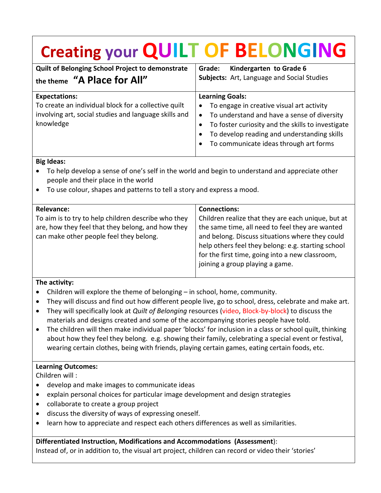# **Creating your QUILT OF BELONGING**

| <b>Quilt of Belonging School Project to demonstrate</b><br>the theme "A Place for All"                                                             | Kindergarten to Grade 6<br>Grade:<br>Subjects: Art, Language and Social Studies                                                                                                                                                                                                            |
|----------------------------------------------------------------------------------------------------------------------------------------------------|--------------------------------------------------------------------------------------------------------------------------------------------------------------------------------------------------------------------------------------------------------------------------------------------|
| <b>Expectations:</b><br>To create an individual block for a collective quilt<br>involving art, social studies and language skills and<br>knowledge | <b>Learning Goals:</b><br>To engage in creative visual art activity<br>$\bullet$<br>To understand and have a sense of diversity<br>$\bullet$<br>To foster curiosity and the skills to investigate<br>To develop reading and understanding skills<br>To communicate ideas through art forms |

#### **Big Ideas:**

- To help develop a sense of one's self in the world and begin to understand and appreciate other people and their place in the world
- To use colour, shapes and patterns to tell a story and express a mood.

| <b>Relevance:</b>                                                                                                                                   | <b>Connections:</b>                                                                                                                                                                                                                                                                                  |
|-----------------------------------------------------------------------------------------------------------------------------------------------------|------------------------------------------------------------------------------------------------------------------------------------------------------------------------------------------------------------------------------------------------------------------------------------------------------|
| To aim is to try to help children describe who they<br>are, how they feel that they belong, and how they<br>can make other people feel they belong. | Children realize that they are each unique, but at<br>the same time, all need to feel they are wanted<br>and belong. Discuss situations where they could<br>help others feel they belong: e.g. starting school<br>for the first time, going into a new classroom,<br>joining a group playing a game. |
|                                                                                                                                                     |                                                                                                                                                                                                                                                                                                      |

#### **The activity:**

- Children will explore the theme of belonging in school, home, community.
- They will discuss and find out how different people live, go to school, dress, celebrate and make art.
- They will specifically look at *Quilt of Belonging* resources (video, Block-by-block) to discuss the materials and designs created and some of the accompanying stories people have told.
- The children will then make individual paper 'blocks' for inclusion in a class or school quilt, thinking about how they feel they belong. e.g. showing their family, celebrating a special event or festival, wearing certain clothes, being with friends, playing certain games, eating certain foods, etc.

#### **Learning Outcomes:**

Children will :

- develop and make images to communicate ideas
- explain personal choices for particular image development and design strategies
- collaborate to create a group project
- discuss the diversity of ways of expressing oneself.
- learn how to appreciate and respect each others differences as well as similarities.

**Differentiated Instruction, Modifications and Accommodations (Assessment**): Instead of, or in addition to, the visual art project, children can record or video their 'stories'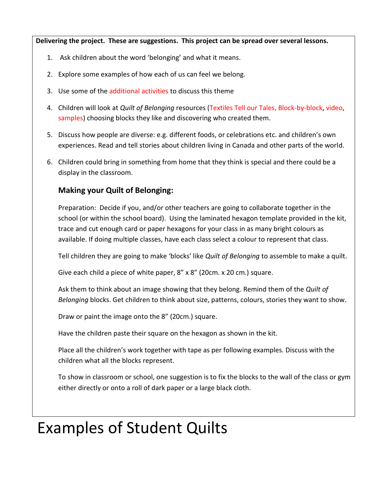**Delivering the project. These are suggestions. This project can be spread over several lessons.**

- 1. Ask children about the word 'belonging' and what it means.
- 2. Explore some examples of how each of us can feel we belong.
- 3. Use some of the additional activities to discuss this theme
- 4. Children will look at *Quilt of Belonging* resources (Textiles Tell our Tales, Block-by-block, video, samples) choosing blocks they like and discovering who created them.
- 5. Discuss how people are diverse: e.g. different foods, or celebrations etc. and children's own experiences. Read and tell stories about children living in Canada and other parts of the world.
- 6. Children could bring in something from home that they think is special and there could be a display in the classroom.

### **Making your Quilt of Belonging:**

Preparation: Decide if you, and/or other teachers are going to collaborate together in the school (or within the school board). Using the laminated hexagon template provided in the kit, trace and cut enough card or paper hexagons for your class in as many bright colours as available. If doing multiple classes, have each class select a colour to represent that class.

Tell children they are going to make 'blocks' like *Quilt of Belonging* to assemble to make a quilt.

Give each child a piece of white paper, 8" x 8" (20cm. x 20 cm.) square.

Ask them to think about an image showing that they belong. Remind them of the *Quilt of Belonging* blocks. Get children to think about size, patterns, colours, stories they want to show.

Draw or paint the image onto the 8" (20cm.) square.

Have the children paste their square on the hexagon as shown in the kit.

Place all the children's work together with tape as per following examples. Discuss with the children what all the blocks represent.

To show in classroom or school, one suggestion is to fix the blocks to the wall of the class or gym either directly or onto a roll of dark paper or a large black cloth.

## Examples of Student Quilts